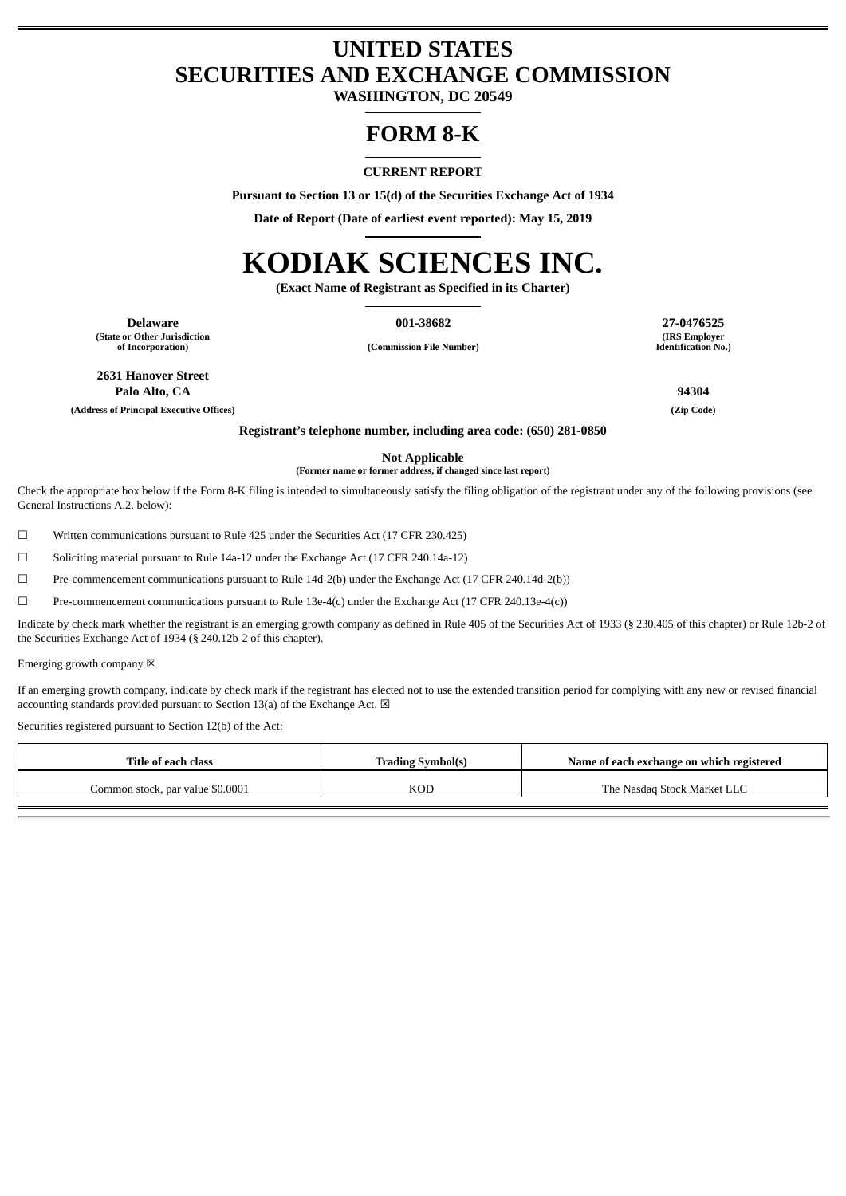# **UNITED STATES SECURITIES AND EXCHANGE COMMISSION**

**WASHINGTON, DC 20549**

# **FORM 8-K**

### **CURRENT REPORT**

**Pursuant to Section 13 or 15(d) of the Securities Exchange Act of 1934**

**Date of Report (Date of earliest event reported): May 15, 2019**

# **KODIAK SCIENCES INC.**

**(Exact Name of Registrant as Specified in its Charter)**

**Delaware 001-38682 27-0476525 (State or Other Jurisdiction**

**of Incorporation) (Commission File Number)**

**(IRS Employer Identification No.)**

**2631 Hanover Street Palo Alto, CA 94304**

**(Address of Principal Executive Offices) (Zip Code)**

**Registrant's telephone number, including area code: (650) 281-0850**

**Not Applicable**

**(Former name or former address, if changed since last report)**

Check the appropriate box below if the Form 8-K filing is intended to simultaneously satisfy the filing obligation of the registrant under any of the following provisions (see General Instructions A.2. below):

☐ Written communications pursuant to Rule 425 under the Securities Act (17 CFR 230.425)

☐ Soliciting material pursuant to Rule 14a-12 under the Exchange Act (17 CFR 240.14a-12)

☐ Pre-commencement communications pursuant to Rule 14d-2(b) under the Exchange Act (17 CFR 240.14d-2(b))

 $\square$  Pre-commencement communications pursuant to Rule 13e-4(c) under the Exchange Act (17 CFR 240.13e-4(c))

Indicate by check mark whether the registrant is an emerging growth company as defined in Rule 405 of the Securities Act of 1933 (§ 230.405 of this chapter) or Rule 12b-2 of the Securities Exchange Act of 1934 (§ 240.12b-2 of this chapter).

Emerging growth company  $\boxtimes$ 

If an emerging growth company, indicate by check mark if the registrant has elected not to use the extended transition period for complying with any new or revised financial accounting standards provided pursuant to Section 13(a) of the Exchange Act.  $\boxtimes$ 

Securities registered pursuant to Section 12(b) of the Act:

| Title of each class              | <b>Trading Symbol(s)</b> | Name of each exchange on which registered |  |  |
|----------------------------------|--------------------------|-------------------------------------------|--|--|
| Common stock, par value \$0.0001 | KOD                      | The Nasdag Stock Market LLC               |  |  |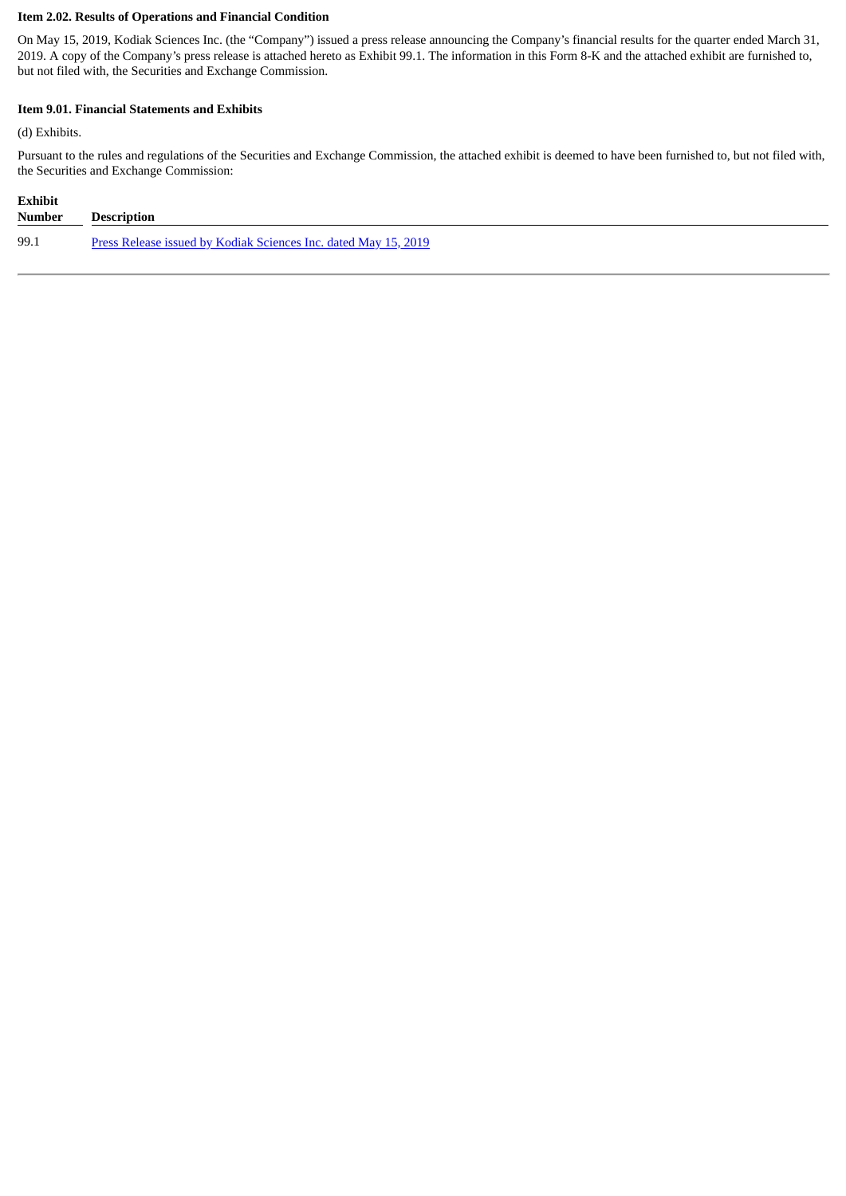# **Item 2.02. Results of Operations and Financial Condition**

On May 15, 2019, Kodiak Sciences Inc. (the "Company") issued a press release announcing the Company's financial results for the quarter ended March 31, 2019. A copy of the Company's press release is attached hereto as Exhibit 99.1. The information in this Form 8-K and the attached exhibit are furnished to, but not filed with, the Securities and Exchange Commission.

## **Item 9.01. Financial Statements and Exhibits**

(d) Exhibits.

Pursuant to the rules and regulations of the Securities and Exchange Commission, the attached exhibit is deemed to have been furnished to, but not filed with, the Securities and Exchange Commission:

| <b>Exhibit</b> |                                                                 |
|----------------|-----------------------------------------------------------------|
| Number         | <b>Description</b>                                              |
| 99.1           | Press Release issued by Kodiak Sciences Inc. dated May 15, 2019 |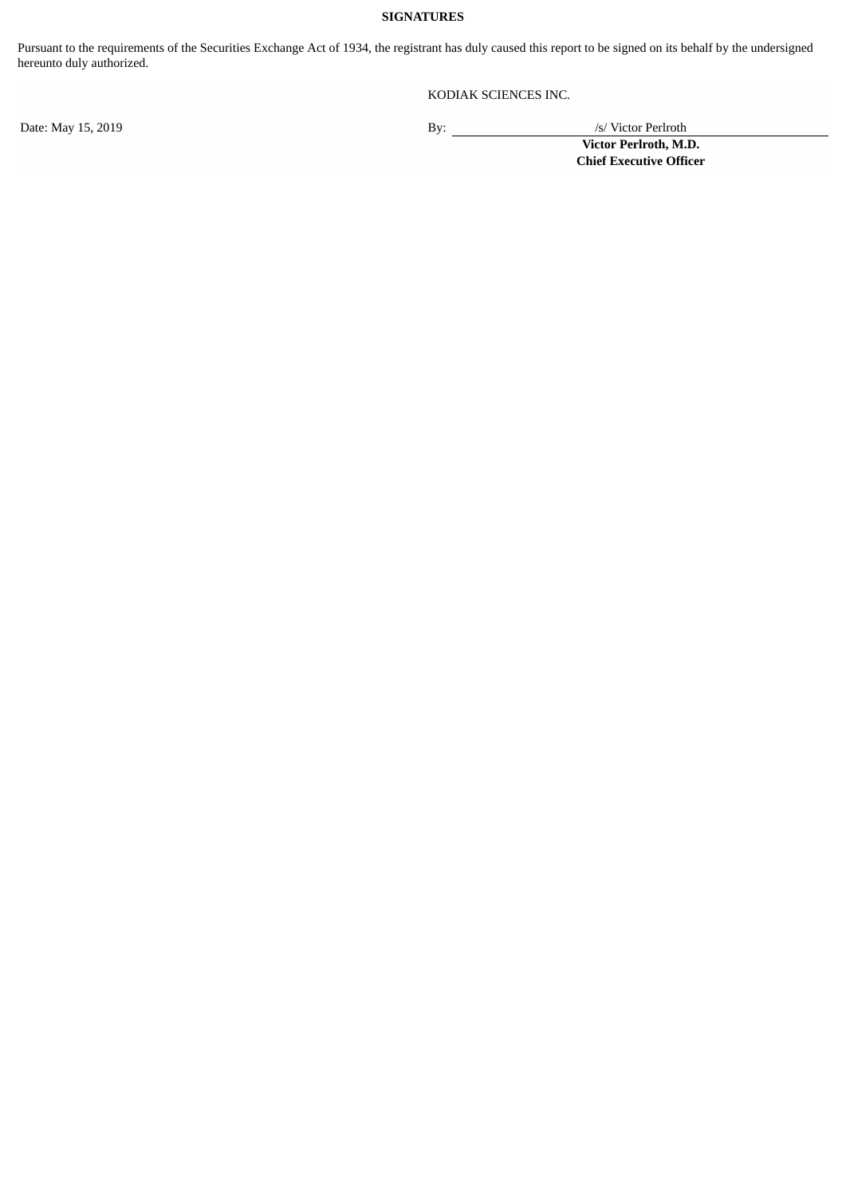# **SIGNATURES**

Pursuant to the requirements of the Securities Exchange Act of 1934, the registrant has duly caused this report to be signed on its behalf by the undersigned hereunto duly authorized.

KODIAK SCIENCES INC.

Date: May 15, 2019 By: /s/ Victor Perlroth

**Victor Perlroth, M.D. Chief Executive Officer**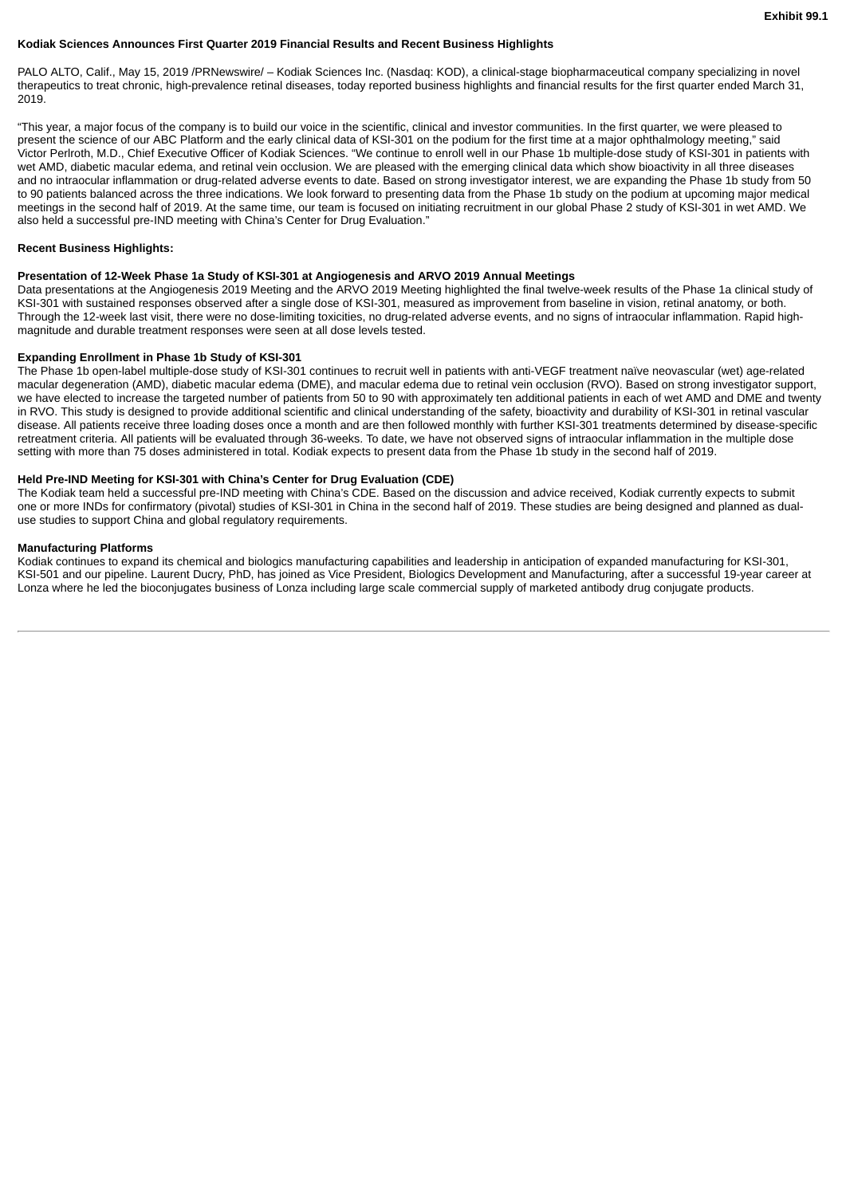#### <span id="page-3-0"></span>**Kodiak Sciences Announces First Quarter 2019 Financial Results and Recent Business Highlights**

PALO ALTO, Calif., May 15, 2019 /PRNewswire/ – Kodiak Sciences Inc. (Nasdaq: KOD), a clinical-stage biopharmaceutical company specializing in novel therapeutics to treat chronic, high-prevalence retinal diseases, today reported business highlights and financial results for the first quarter ended March 31, 2019.

"This year, a major focus of the company is to build our voice in the scientific, clinical and investor communities. In the first quarter, we were pleased to present the science of our ABC Platform and the early clinical data of KSI-301 on the podium for the first time at a major ophthalmology meeting," said Victor Perlroth, M.D., Chief Executive Officer of Kodiak Sciences. "We continue to enroll well in our Phase 1b multiple-dose study of KSI-301 in patients with wet AMD, diabetic macular edema, and retinal vein occlusion. We are pleased with the emerging clinical data which show bioactivity in all three diseases and no intraocular inflammation or drug-related adverse events to date. Based on strong investigator interest, we are expanding the Phase 1b study from 50 to 90 patients balanced across the three indications. We look forward to presenting data from the Phase 1b study on the podium at upcoming major medical meetings in the second half of 2019. At the same time, our team is focused on initiating recruitment in our global Phase 2 study of KSI-301 in wet AMD. We also held a successful pre-IND meeting with China's Center for Drug Evaluation."

#### **Recent Business Highlights:**

#### **Presentation of 12-Week Phase 1a Study of KSI-301 at Angiogenesis and ARVO 2019 Annual Meetings**

Data presentations at the Angiogenesis 2019 Meeting and the ARVO 2019 Meeting highlighted the final twelve-week results of the Phase 1a clinical study of KSI-301 with sustained responses observed after a single dose of KSI-301, measured as improvement from baseline in vision, retinal anatomy, or both. Through the 12-week last visit, there were no dose-limiting toxicities, no drug-related adverse events, and no signs of intraocular inflammation. Rapid highmagnitude and durable treatment responses were seen at all dose levels tested.

#### **Expanding Enrollment in Phase 1b Study of KSI-301**

The Phase 1b open-label multiple-dose study of KSI-301 continues to recruit well in patients with anti-VEGF treatment naïve neovascular (wet) age-related macular degeneration (AMD), diabetic macular edema (DME), and macular edema due to retinal vein occlusion (RVO). Based on strong investigator support, we have elected to increase the targeted number of patients from 50 to 90 with approximately ten additional patients in each of wet AMD and DME and twenty in RVO. This study is designed to provide additional scientific and clinical understanding of the safety, bioactivity and durability of KSI-301 in retinal vascular disease. All patients receive three loading doses once a month and are then followed monthly with further KSI-301 treatments determined by disease-specific retreatment criteria. All patients will be evaluated through 36-weeks. To date, we have not observed signs of intraocular inflammation in the multiple dose setting with more than 75 doses administered in total. Kodiak expects to present data from the Phase 1b study in the second half of 2019.

#### **Held Pre-IND Meeting for KSI-301 with China's Center for Drug Evaluation (CDE)**

The Kodiak team held a successful pre-IND meeting with China's CDE. Based on the discussion and advice received, Kodiak currently expects to submit one or more INDs for confirmatory (pivotal) studies of KSI-301 in China in the second half of 2019. These studies are being designed and planned as dualuse studies to support China and global regulatory requirements.

#### **Manufacturing Platforms**

Kodiak continues to expand its chemical and biologics manufacturing capabilities and leadership in anticipation of expanded manufacturing for KSI-301, KSI-501 and our pipeline. Laurent Ducry, PhD, has joined as Vice President, Biologics Development and Manufacturing, after a successful 19-year career at Lonza where he led the bioconjugates business of Lonza including large scale commercial supply of marketed antibody drug conjugate products.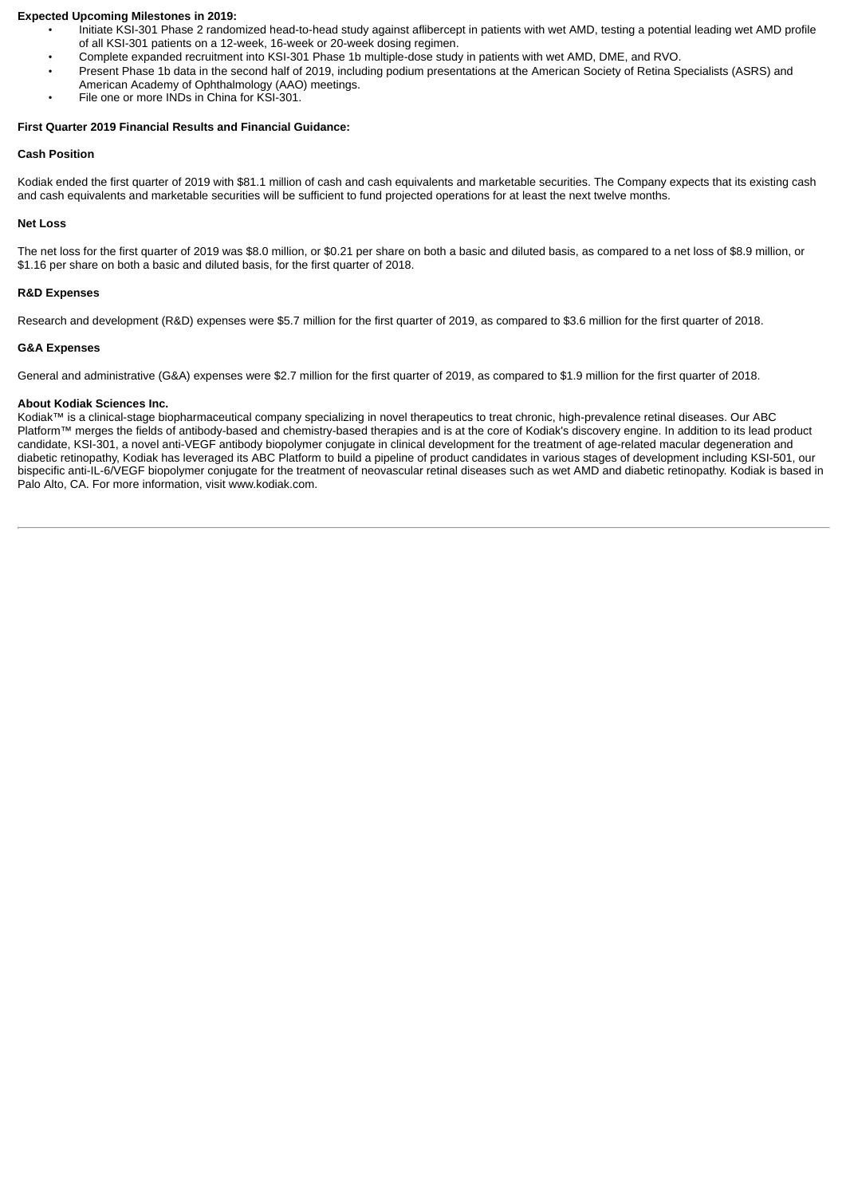#### **Expected Upcoming Milestones in 2019:**

- Initiate KSI-301 Phase 2 randomized head-to-head study against aflibercept in patients with wet AMD, testing a potential leading wet AMD profile of all KSI-301 patients on a 12-week, 16-week or 20-week dosing regimen.
- Complete expanded recruitment into KSI-301 Phase 1b multiple-dose study in patients with wet AMD, DME, and RVO.
- Present Phase 1b data in the second half of 2019, including podium presentations at the American Society of Retina Specialists (ASRS) and American Academy of Ophthalmology (AAO) meetings.
- File one or more INDs in China for KSI-301.

#### **First Quarter 2019 Financial Results and Financial Guidance:**

#### **Cash Position**

Kodiak ended the first quarter of 2019 with \$81.1 million of cash and cash equivalents and marketable securities. The Company expects that its existing cash and cash equivalents and marketable securities will be sufficient to fund projected operations for at least the next twelve months.

#### **Net Loss**

The net loss for the first quarter of 2019 was \$8.0 million, or \$0.21 per share on both a basic and diluted basis, as compared to a net loss of \$8.9 million, or \$1.16 per share on both a basic and diluted basis, for the first quarter of 2018.

#### **R&D Expenses**

Research and development (R&D) expenses were \$5.7 million for the first quarter of 2019, as compared to \$3.6 million for the first quarter of 2018.

#### **G&A Expenses**

General and administrative (G&A) expenses were \$2.7 million for the first quarter of 2019, as compared to \$1.9 million for the first quarter of 2018.

#### **About Kodiak Sciences Inc.**

Kodiak™ is a clinical-stage biopharmaceutical company specializing in novel therapeutics to treat chronic, high-prevalence retinal diseases. Our ABC Platform™ merges the fields of antibody-based and chemistry-based therapies and is at the core of Kodiak's discovery engine. In addition to its lead product candidate, KSI-301, a novel anti-VEGF antibody biopolymer conjugate in clinical development for the treatment of age-related macular degeneration and diabetic retinopathy, Kodiak has leveraged its ABC Platform to build a pipeline of product candidates in various stages of development including KSI-501, our bispecific anti-IL-6/VEGF biopolymer conjugate for the treatment of neovascular retinal diseases such as wet AMD and diabetic retinopathy. Kodiak is based in Palo Alto, CA. For more information, visit www.kodiak.com.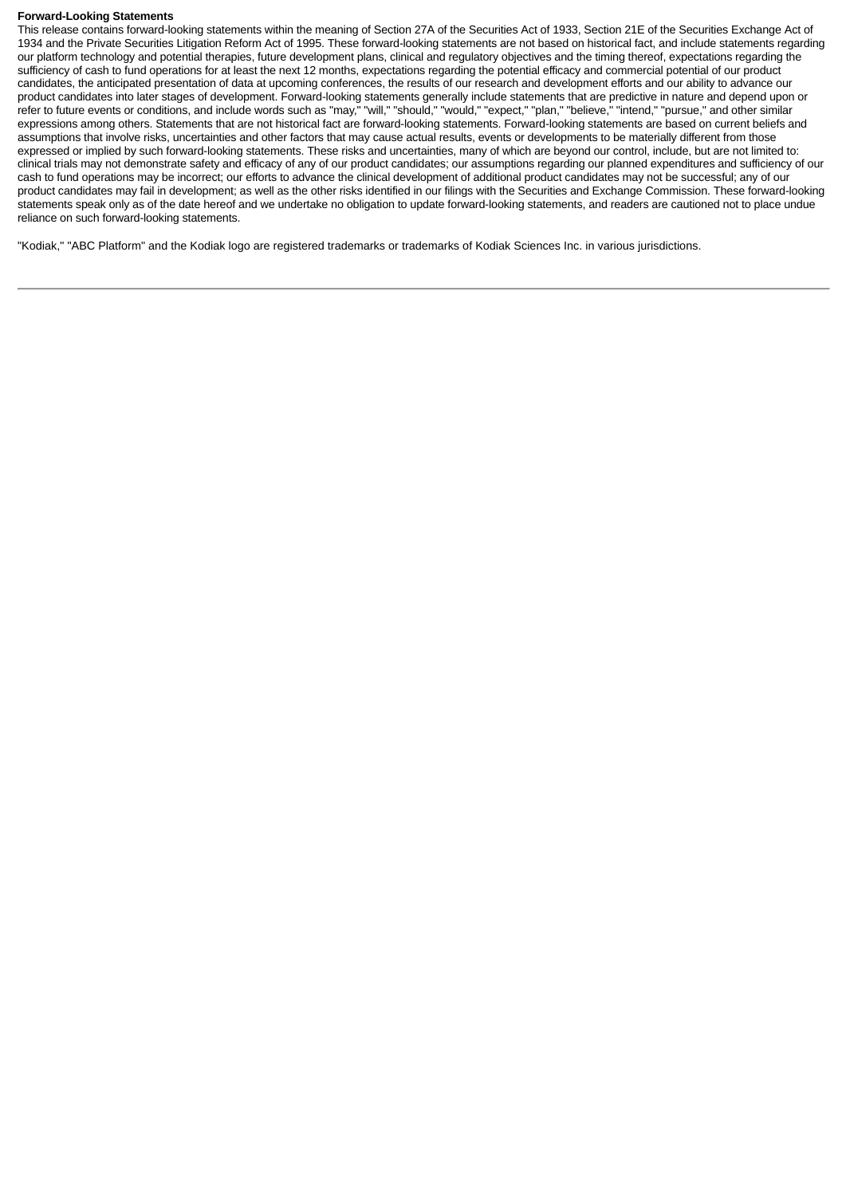#### **Forward-Looking Statements**

This release contains forward-looking statements within the meaning of Section 27A of the Securities Act of 1933, Section 21E of the Securities Exchange Act of 1934 and the Private Securities Litigation Reform Act of 1995. These forward-looking statements are not based on historical fact, and include statements regarding our platform technology and potential therapies, future development plans, clinical and regulatory objectives and the timing thereof, expectations regarding the sufficiency of cash to fund operations for at least the next 12 months, expectations regarding the potential efficacy and commercial potential of our product candidates, the anticipated presentation of data at upcoming conferences, the results of our research and development efforts and our ability to advance our product candidates into later stages of development. Forward-looking statements generally include statements that are predictive in nature and depend upon or refer to future events or conditions, and include words such as "may," "will," "should," "would," "expect," "plan," "believe," "intend," "pursue," and other similar expressions among others. Statements that are not historical fact are forward-looking statements. Forward-looking statements are based on current beliefs and assumptions that involve risks, uncertainties and other factors that may cause actual results, events or developments to be materially different from those expressed or implied by such forward-looking statements. These risks and uncertainties, many of which are beyond our control, include, but are not limited to: clinical trials may not demonstrate safety and efficacy of any of our product candidates; our assumptions regarding our planned expenditures and sufficiency of our cash to fund operations may be incorrect; our efforts to advance the clinical development of additional product candidates may not be successful; any of our product candidates may fail in development; as well as the other risks identified in our filings with the Securities and Exchange Commission. These forward-looking statements speak only as of the date hereof and we undertake no obligation to update forward-looking statements, and readers are cautioned not to place undue reliance on such forward-looking statements.

"Kodiak," "ABC Platform" and the Kodiak logo are registered trademarks or trademarks of Kodiak Sciences Inc. in various jurisdictions.